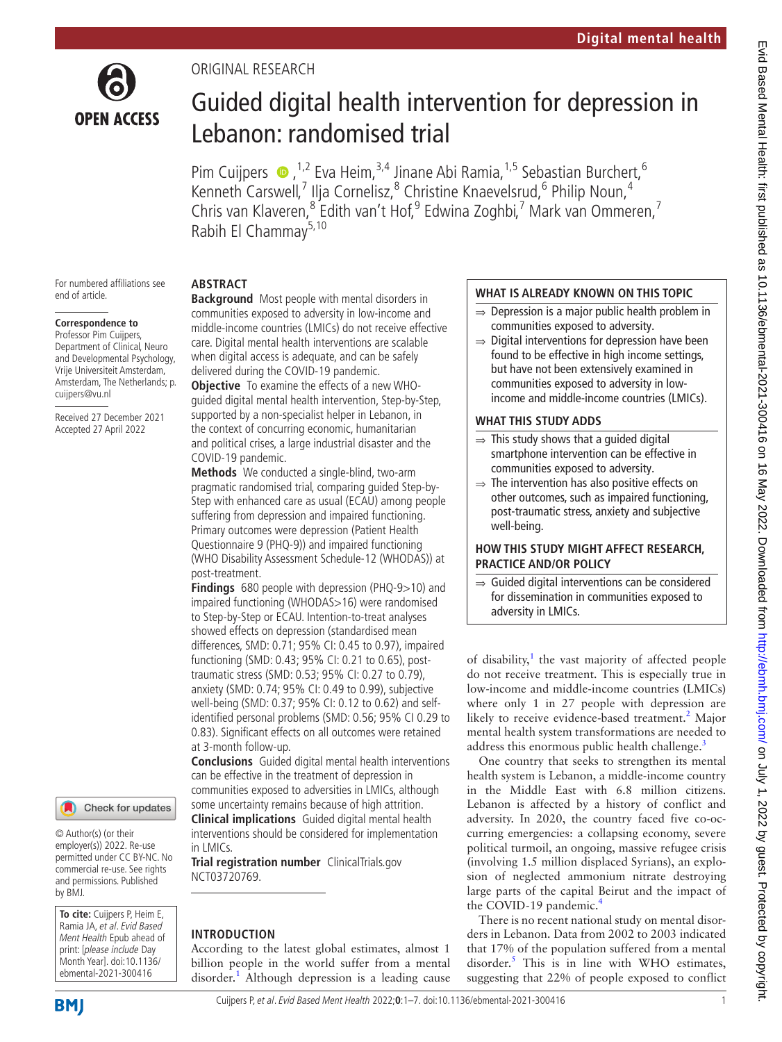

# ORIGINAL RESEARCH

# Guided digital health intervention for depression in Lebanon: randomised trial

PimCuijpers  $\bullet$ ,<sup>1,2</sup> Eva Heim,<sup>3,4</sup> Jinane Abi Ramia,<sup>1,5</sup> Sebastian Burchert,<sup>6</sup> Kenneth Carswell,<sup>7</sup> Ilja Cornelisz,<sup>8</sup> Christine Knaevelsrud,<sup>6</sup> Philip Noun,<sup>4</sup> Chris van Klaveren,<sup>8</sup> Edith van't Hof,<sup>9</sup> Edwina Zoghbi,<sup>7</sup> Mark van Ommeren,<sup>7</sup> Rabih El Chammay<sup>5,10</sup>

For numbered affiliations see end of article.

# **Correspondence to**

Professor Pim Cuijpers, Department of Clinical, Neuro and Developmental Psychology, Vrije Universiteit Amsterdam, Amsterdam, The Netherlands; p. cuijpers@vu.nl

Received 27 December 2021 Accepted 27 April 2022



© Author(s) (or their employer(s)) 2022. Re-use permitted under CC BY-NC. No commercial re-use. See rights and permissions. Published by BMJ.

**To cite:** Cuijpers P, Heim E, Ramia JA, et al. Evid Based Ment Health Epub ahead of print: [please include Day Month Year]. doi:10.1136/ ebmental-2021-300416

## **ABSTRACT**

**Background** Most people with mental disorders in communities exposed to adversity in low-income and middle-income countries (LMICs) do not receive effective care. Digital mental health interventions are scalable when digital access is adequate, and can be safely delivered during the COVID-19 pandemic.

**Objective** To examine the effects of a new WHOguided digital mental health intervention, Step-by-Step, supported by a non-specialist helper in Lebanon, in the context of concurring economic, humanitarian and political crises, a large industrial disaster and the COVID-19 pandemic.

**Methods** We conducted a single-blind, two-arm pragmatic randomised trial, comparing guided Step-by-Step with enhanced care as usual (ECAU) among people suffering from depression and impaired functioning. Primary outcomes were depression (Patient Health Questionnaire 9 (PHQ-9)) and impaired functioning (WHO Disability Assessment Schedule-12 (WHODAS)) at post-treatment.

**Findings** 680 people with depression (PHQ-9>10) and impaired functioning (WHODAS>16) were randomised to Step-by-Step or ECAU. Intention-to-treat analyses showed effects on depression (standardised mean differences, SMD: 0.71; 95% CI: 0.45 to 0.97), impaired functioning (SMD: 0.43; 95% CI: 0.21 to 0.65), posttraumatic stress (SMD: 0.53; 95% CI: 0.27 to 0.79), anxiety (SMD: 0.74; 95% CI: 0.49 to 0.99), subjective well-being (SMD: 0.37; 95% CI: 0.12 to 0.62) and selfidentified personal problems (SMD: 0.56; 95% CI 0.29 to 0.83). Significant effects on all outcomes were retained at 3-month follow-up.

**Conclusions** Guided digital mental health interventions can be effective in the treatment of depression in communities exposed to adversities in LMICs, although some uncertainty remains because of high attrition. **Clinical implications** Guided digital mental health interventions should be considered for implementation in LMICs.

**Trial registration number** ClinicalTrials.gov [NCT03720769.](NCT03720769)

## **INTRODUCTION**

According to the latest global estimates, almost 1 billion people in the world suffer from a mental disorder.<sup>[1](#page-5-0)</sup> Although depression is a leading cause

## **WHAT IS ALREADY KNOWN ON THIS TOPIC**

- $\Rightarrow$  Depression is a major public health problem in communities exposed to adversity.
- $\Rightarrow$  Digital interventions for depression have been found to be effective in high income settings, but have not been extensively examined in communities exposed to adversity in lowincome and middle-income countries (LMICs).

## **WHAT THIS STUDY ADDS**

- $\Rightarrow$  This study shows that a guided digital smartphone intervention can be effective in communities exposed to adversity.
- $\Rightarrow$  The intervention has also positive effects on other outcomes, such as impaired functioning, post-traumatic stress, anxiety and subjective well-being.

### **HOW THIS STUDY MIGHT AFFECT RESEARCH, PRACTICE AND/OR POLICY**

⇒ Guided digital interventions can be considered for dissemination in communities exposed to adversity in LMICs.

of disability, $1$  the vast majority of affected people do not receive treatment. This is especially true in low-income and middle-income countries (LMICs) where only 1 in 27 people with depression are likely to receive evidence-based treatment.<sup>[2](#page-5-1)</sup> Major mental health system transformations are needed to address this enormous public health challenge.<sup>[3](#page-5-2)</sup>

One country that seeks to strengthen its mental health system is Lebanon, a middle-income country in the Middle East with 6.8 million citizens. Lebanon is affected by a history of conflict and adversity. In 2020, the country faced five co-occurring emergencies: a collapsing economy, severe political turmoil, an ongoing, massive refugee crisis (involving 1.5 million displaced Syrians), an explosion of neglected ammonium nitrate destroying large parts of the capital Beirut and the impact of the COVID-19 pandemic.<sup>[4](#page-5-3)</sup>

There is no recent national study on mental disorders in Lebanon. Data from 2002 to 2003 indicated that 17% of the population suffered from a mental disorder.<sup>[5](#page-5-4)</sup> This is in line with WHO estimates, suggesting that 22% of people exposed to conflict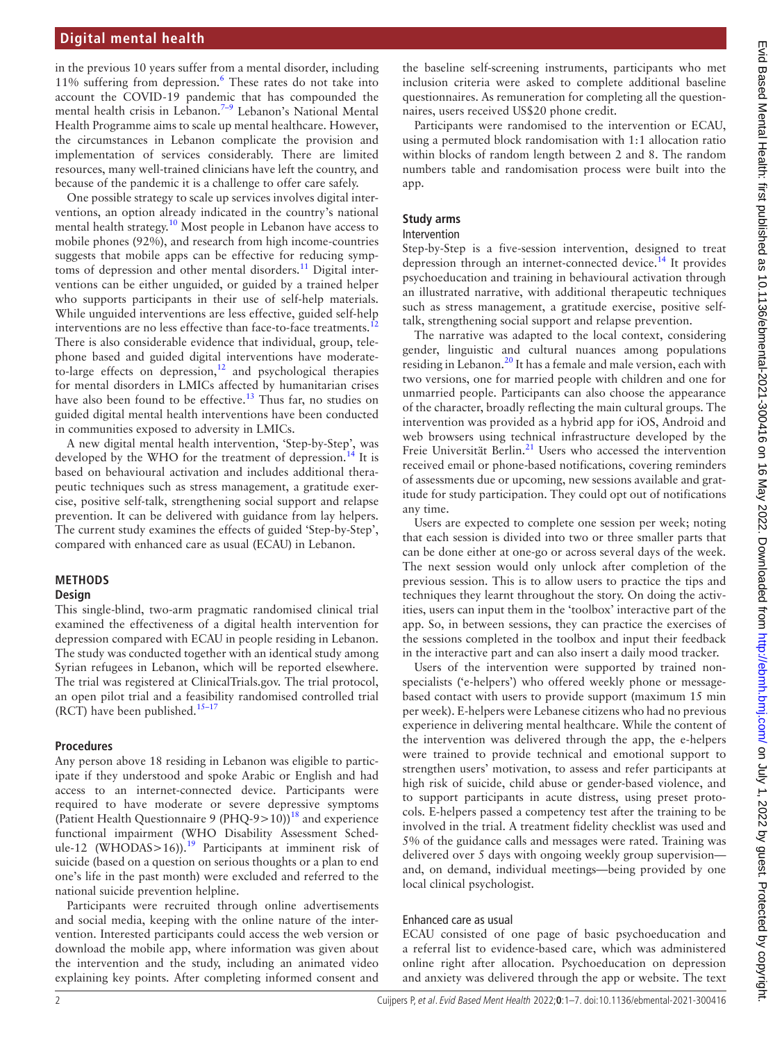## **Digital mental health**

in the previous 10 years suffer from a mental disorder, including 11% suffering from depression.<sup>[6](#page-5-5)</sup> These rates do not take into account the COVID-19 pandemic that has compounded the mental health crisis in Lebanon[.7–9](#page-5-6) Lebanon's National Mental Health Programme aims to scale up mental healthcare. However, the circumstances in Lebanon complicate the provision and implementation of services considerably. There are limited resources, many well-trained clinicians have left the country, and because of the pandemic it is a challenge to offer care safely.

One possible strategy to scale up services involves digital interventions, an option already indicated in the country's national mental health strategy.<sup>[10](#page-5-7)</sup> Most people in Lebanon have access to mobile phones (92%), and research from high income-countries suggests that mobile apps can be effective for reducing symp-toms of depression and other mental disorders.<sup>[11](#page-5-8)</sup> Digital interventions can be either unguided, or guided by a trained helper who supports participants in their use of self-help materials. While unguided interventions are less effective, guided self-help interventions are no less effective than face-to-face treatments.<sup>1</sup> There is also considerable evidence that individual, group, telephone based and guided digital interventions have moderateto-large effects on depression, $12$  and psychological therapies for mental disorders in LMICs affected by humanitarian crises have also been found to be effective.<sup>13</sup> Thus far, no studies on guided digital mental health interventions have been conducted in communities exposed to adversity in LMICs.

A new digital mental health intervention, 'Step-by-Step', was developed by the WHO for the treatment of depression.<sup>14</sup> It is based on behavioural activation and includes additional therapeutic techniques such as stress management, a gratitude exercise, positive self-talk, strengthening social support and relapse prevention. It can be delivered with guidance from lay helpers. The current study examines the effects of guided 'Step-by-Step', compared with enhanced care as usual (ECAU) in Lebanon.

## **METHODS**

#### **Design**

This single-blind, two-arm pragmatic randomised clinical trial examined the effectiveness of a digital health intervention for depression compared with ECAU in people residing in Lebanon. The study was conducted together with an identical study among Syrian refugees in Lebanon, which will be reported elsewhere. The trial was registered at ClinicalTrials.gov. The trial protocol, an open pilot trial and a feasibility randomised controlled trial (RCT) have been published.<sup>15-17</sup>

#### **Procedures**

Any person above 18 residing in Lebanon was eligible to participate if they understood and spoke Arabic or English and had access to an internet-connected device. Participants were required to have moderate or severe depressive symptoms (Patient Health Questionnaire 9 (PHQ-9>10))<sup>[18](#page-5-13)</sup> and experience functional impairment (WHO Disability Assessment Sched-ule-12 (WHODAS>16)).<sup>[19](#page-6-0)</sup> Participants at imminent risk of suicide (based on a question on serious thoughts or a plan to end one's life in the past month) were excluded and referred to the national suicide prevention helpline.

Participants were recruited through online advertisements and social media, keeping with the online nature of the intervention. Interested participants could access the web version or download the mobile app, where information was given about the intervention and the study, including an animated video explaining key points. After completing informed consent and

the baseline self-screening instruments, participants who met inclusion criteria were asked to complete additional baseline questionnaires. As remuneration for completing all the questionnaires, users received US\$20 phone credit.

Participants were randomised to the intervention or ECAU, using a permuted block randomisation with 1:1 allocation ratio within blocks of random length between 2 and 8. The random numbers table and randomisation process were built into the app.

# **Study arms**

#### Intervention

Step-by-Step is a five-session intervention, designed to treat depression through an internet-connected device.<sup>[14](#page-5-11)</sup> It provides psychoeducation and training in behavioural activation through an illustrated narrative, with additional therapeutic techniques such as stress management, a gratitude exercise, positive selftalk, strengthening social support and relapse prevention.

The narrative was adapted to the local context, considering gender, linguistic and cultural nuances among populations residing in Lebanon.<sup>20</sup> It has a female and male version, each with two versions, one for married people with children and one for unmarried people. Participants can also choose the appearance of the character, broadly reflecting the main cultural groups. The intervention was provided as a hybrid app for iOS, Android and web browsers using technical infrastructure developed by the Freie Universität Berlin.<sup>21</sup> Users who accessed the intervention received email or phone-based notifications, covering reminders of assessments due or upcoming, new sessions available and gratitude for study participation. They could opt out of notifications any time.

Users are expected to complete one session per week; noting that each session is divided into two or three smaller parts that can be done either at one-go or across several days of the week. The next session would only unlock after completion of the previous session. This is to allow users to practice the tips and techniques they learnt throughout the story. On doing the activities, users can input them in the 'toolbox' interactive part of the app. So, in between sessions, they can practice the exercises of the sessions completed in the toolbox and input their feedback in the interactive part and can also insert a daily mood tracker.

Users of the intervention were supported by trained nonspecialists ('e-helpers') who offered weekly phone or messagebased contact with users to provide support (maximum 15 min per week). E-helpers were Lebanese citizens who had no previous experience in delivering mental healthcare. While the content of the intervention was delivered through the app, the e-helpers were trained to provide technical and emotional support to strengthen users' motivation, to assess and refer participants at high risk of suicide, child abuse or gender-based violence, and to support participants in acute distress, using preset protocols. E-helpers passed a competency test after the training to be involved in the trial. A treatment fidelity checklist was used and 5% of the guidance calls and messages were rated. Training was delivered over 5 days with ongoing weekly group supervision and, on demand, individual meetings—being provided by one local clinical psychologist.

## Enhanced care as usual

ECAU consisted of one page of basic psychoeducation and a referral list to evidence-based care, which was administered online right after allocation. Psychoeducation on depression and anxiety was delivered through the app or website. The text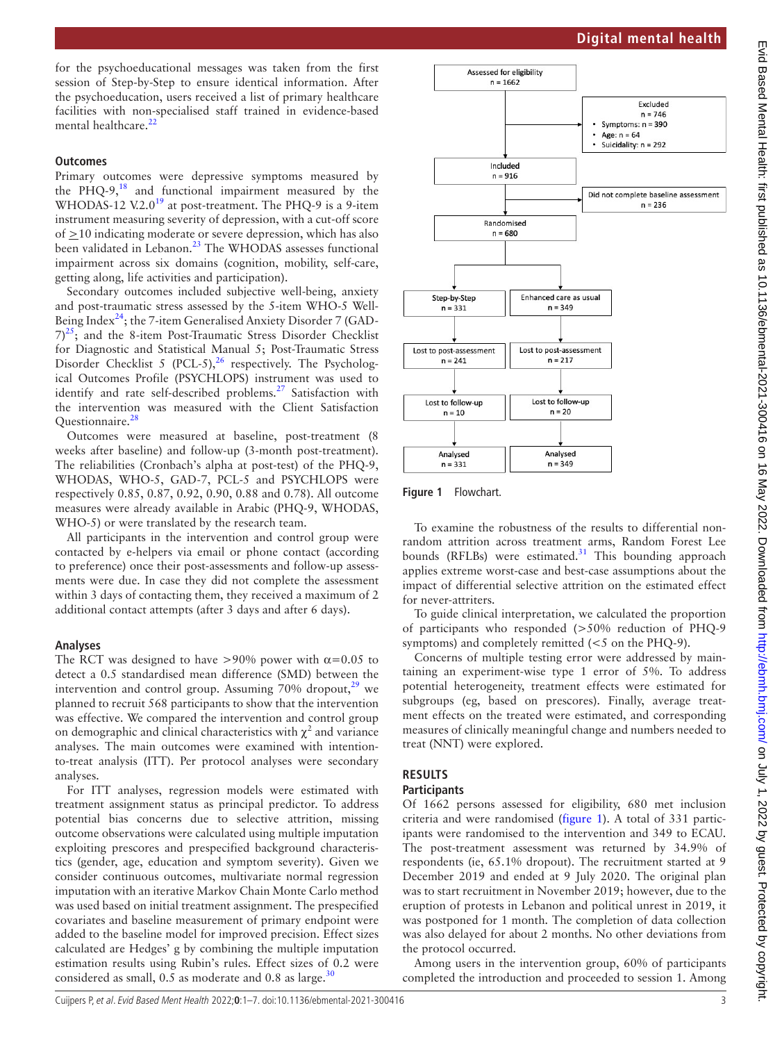for the psychoeducational messages was taken from the first session of Step-by-Step to ensure identical information. After the psychoeducation, users received a list of primary healthcare facilities with non-specialised staff trained in evidence-based mental healthcare.<sup>2</sup>

# **Outcomes**

Primary outcomes were depressive symptoms measured by the PHQ-9, $^{18}$  $^{18}$  $^{18}$  and functional impairment measured by the WHODAS-12 V.2.0<sup>19</sup> at post-treatment. The PHQ-9 is a 9-item instrument measuring severity of depression, with a cut-off score of  $\geq$ 10 indicating moderate or severe depression, which has also been validated in Lebanon.<sup>[23](#page-6-4)</sup> The WHODAS assesses functional impairment across six domains (cognition, mobility, self-care, getting along, life activities and participation).

Secondary outcomes included subjective well-being, anxiety and post-traumatic stress assessed by the 5-item WHO-5 Well-Being Index<sup>[24](#page-6-5)</sup>; the 7-item Generalised Anxiety Disorder 7 (GAD- $(7)^{25}$ ; and the 8-item Post-Traumatic Stress Disorder Checklist for Diagnostic and Statistical Manual 5; Post-Traumatic Stress Disorder Checklist 5 (PCL-5),  $^{26}$  $^{26}$  $^{26}$  respectively. The Psychological Outcomes Profile (PSYCHLOPS) instrument was used to identify and rate self-described problems. $27$  Satisfaction with the intervention was measured with the Client Satisfaction Questionnaire.<sup>28</sup>

Outcomes were measured at baseline, post-treatment (8 weeks after baseline) and follow-up (3-month post-treatment). The reliabilities (Cronbach's alpha at post-test) of the PHQ-9, WHODAS, WHO-5, GAD-7, PCL-5 and PSYCHLOPS were respectively 0.85, 0.87, 0.92, 0.90, 0.88 and 0.78). All outcome measures were already available in Arabic (PHQ-9, WHODAS, WHO-5) or were translated by the research team.

All participants in the intervention and control group were contacted by e-helpers via email or phone contact (according to preference) once their post-assessments and follow-up assessments were due. In case they did not complete the assessment within 3 days of contacting them, they received a maximum of 2 additional contact attempts (after 3 days and after 6 days).

# **Analyses**

The RCT was designed to have >90% power with  $\alpha$ =0.05 to detect a 0.5 standardised mean difference (SMD) between the intervention and control group. Assuming 70% dropout, $^{29}$  $^{29}$  $^{29}$  we planned to recruit 568 participants to show that the intervention was effective. We compared the intervention and control group on demographic and clinical characteristics with  $\chi^2$  and variance analyses. The main outcomes were examined with intentionto-treat analysis (ITT). Per protocol analyses were secondary analyses.

For ITT analyses, regression models were estimated with treatment assignment status as principal predictor. To address potential bias concerns due to selective attrition, missing outcome observations were calculated using multiple imputation exploiting prescores and prespecified background characteristics (gender, age, education and symptom severity). Given we consider continuous outcomes, multivariate normal regression imputation with an iterative Markov Chain Monte Carlo method was used based on initial treatment assignment. The prespecified covariates and baseline measurement of primary endpoint were added to the baseline model for improved precision. Effect sizes calculated are Hedges' g by combining the multiple imputation estimation results using Rubin's rules. Effect sizes of 0.2 were considered as small, 0.5 as moderate and 0.8 as large.<sup>30</sup>



<span id="page-2-0"></span>**Figure 1** Flowchart.

To examine the robustness of the results to differential nonrandom attrition across treatment arms, Random Forest Lee bounds (RFLBs) were estimated. $31$  This bounding approach applies extreme worst-case and best-case assumptions about the impact of differential selective attrition on the estimated effect for never-attriters.

To guide clinical interpretation, we calculated the proportion of participants who responded (>50% reduction of PHQ-9 symptoms) and completely remitted (<5 on the PHQ-9).

Concerns of multiple testing error were addressed by maintaining an experiment-wise type 1 error of 5%. To address potential heterogeneity, treatment effects were estimated for subgroups (eg, based on prescores). Finally, average treatment effects on the treated were estimated, and corresponding measures of clinically meaningful change and numbers needed to treat (NNT) were explored.

# **RESULTS**

## **Participants**

Of 1662 persons assessed for eligibility, 680 met inclusion criteria and were randomised [\(figure](#page-2-0) 1). A total of 331 participants were randomised to the intervention and 349 to ECAU. The post-treatment assessment was returned by 34.9% of respondents (ie, 65.1% dropout). The recruitment started at 9 December 2019 and ended at 9 July 2020. The original plan was to start recruitment in November 2019; however, due to the eruption of protests in Lebanon and political unrest in 2019, it was postponed for 1 month. The completion of data collection was also delayed for about 2 months. No other deviations from the protocol occurred.

Among users in the intervention group, 60% of participants completed the introduction and proceeded to session 1. Among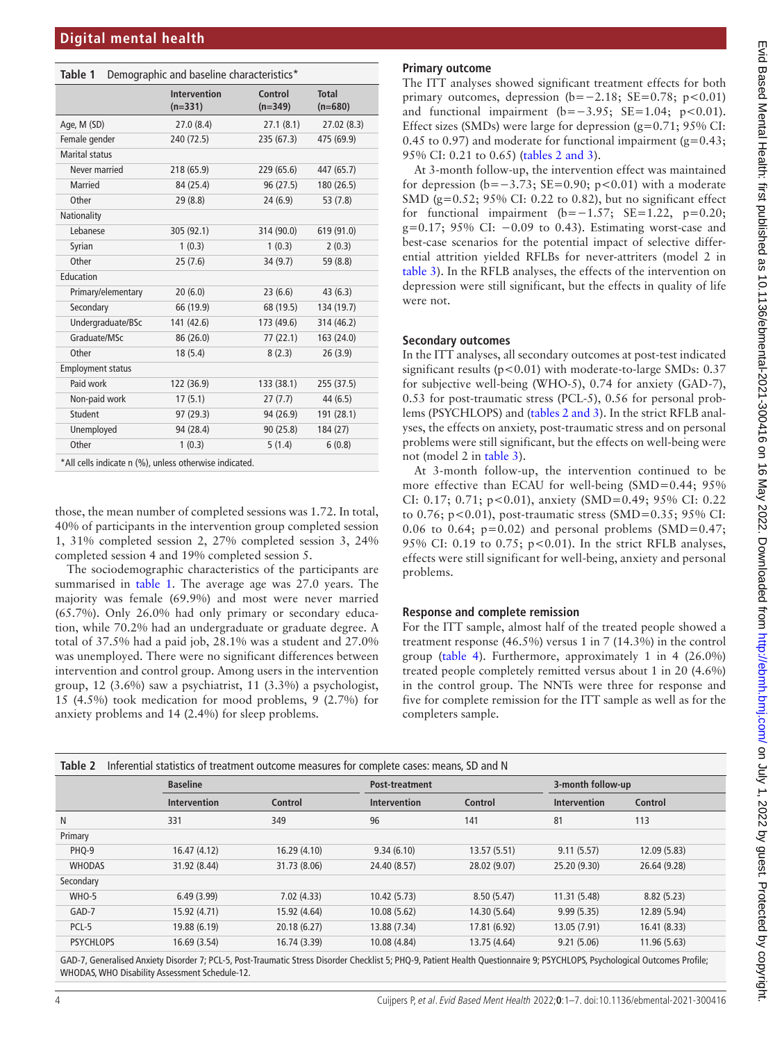<span id="page-3-0"></span>**Table 1** Demographic and baseline characteristics\*

|                                                        | <b>Intervention</b><br>$(n=331)$ | Control<br>$(n=349)$ | <b>Total</b><br>$(n=680)$ |
|--------------------------------------------------------|----------------------------------|----------------------|---------------------------|
| Age, M (SD)                                            | 27.0(8.4)                        | 27.1(8.1)            | 27.02 (8.3)               |
| Female gender                                          | 240 (72.5)                       | 235 (67.3)           | 475 (69.9)                |
| <b>Marital status</b>                                  |                                  |                      |                           |
| Never married                                          | 218 (65.9)                       | 229 (65.6)           | 447 (65.7)                |
| <b>Married</b>                                         | 84 (25.4)                        | 96 (27.5)            | 180 (26.5)                |
| Other                                                  | 29(8.8)                          | 24(6.9)              | 53 (7.8)                  |
| Nationality                                            |                                  |                      |                           |
| Lebanese                                               | 305 (92.1)                       | 314 (90.0)           | 619 (91.0)                |
| Syrian                                                 | 1(0.3)                           | 1(0.3)               | 2(0.3)                    |
| Other                                                  | 25(7.6)                          | 34(9.7)              | 59 (8.8)                  |
| Education                                              |                                  |                      |                           |
| Primary/elementary                                     | 20(6.0)                          | 23(6.6)              | 43(6.3)                   |
| Secondary                                              | 66 (19.9)                        | 68 (19.5)            | 134 (19.7)                |
| Undergraduate/BSc                                      | 141 (42.6)                       | 173 (49.6)           | 314 (46.2)                |
| Graduate/MSc                                           | 86 (26.0)                        | 77(22.1)             | 163 (24.0)                |
| Other                                                  | 18(5.4)                          | 8(2.3)               | 26(3.9)                   |
| <b>Employment status</b>                               |                                  |                      |                           |
| Paid work                                              | 122 (36.9)                       | 133 (38.1)           | 255 (37.5)                |
| Non-paid work                                          | 17(5.1)                          | 27(7.7)              | 44 (6.5)                  |
| Student                                                | 97 (29.3)                        | 94 (26.9)            | 191 (28.1)                |
| Unemployed                                             | 94 (28.4)                        | 90(25.8)             | 184 (27)                  |
| Other                                                  | 1(0.3)                           | 5(1.4)               | 6(0.8)                    |
| *All cells indicate n (%), unless otherwise indicated. |                                  |                      |                           |

those, the mean number of completed sessions was 1.72. In total, 40% of participants in the intervention group completed session 1, 31% completed session 2, 27% completed session 3, 24% completed session 4 and 19% completed session 5.

The sociodemographic characteristics of the participants are summarised in [table](#page-3-0) 1. The average age was 27.0 years. The majority was female (69.9%) and most were never married (65.7%). Only 26.0% had only primary or secondary education, while 70.2% had an undergraduate or graduate degree. A total of 37.5% had a paid job, 28.1% was a student and 27.0% was unemployed. There were no significant differences between intervention and control group. Among users in the intervention group, 12 (3.6%) saw a psychiatrist, 11 (3.3%) a psychologist, 15 (4.5%) took medication for mood problems, 9 (2.7%) for anxiety problems and 14 (2.4%) for sleep problems.

## **Primary outcome**

The ITT analyses showed significant treatment effects for both primary outcomes, depression  $(b=-2.18; SE=0.78; p<0.01)$ and functional impairment  $(b=-3.95; SE=1.04; p<0.01)$ . Effect sizes (SMDs) were large for depression (g=0.71; 95% CI: 0.45 to 0.97) and moderate for functional impairment  $(g=0.43;$ 95% CI: 0.21 to 0.65) (tables [2 and 3](#page-3-1)).

At 3-month follow-up, the intervention effect was maintained for depression (b=−3.73; SE=0.90; p<0.01) with a moderate SMD (g=0.52; 95% CI: 0.22 to 0.82), but no significant effect for functional impairment  $(b=-1.57; SE=1.22, p=0.20;$ g=0.17; 95% CI: −0.09 to 0.43). Estimating worst-case and best-case scenarios for the potential impact of selective differential attrition yielded RFLBs for never-attriters (model 2 in [table](#page-4-0) 3). In the RFLB analyses, the effects of the intervention on depression were still significant, but the effects in quality of life were not.

### **Secondary outcomes**

In the ITT analyses, all secondary outcomes at post-test indicated significant results (p<0.01) with moderate-to-large SMDs: 0.37 for subjective well-being (WHO-5), 0.74 for anxiety (GAD-7), 0.53 for post-traumatic stress (PCL-5), 0.56 for personal problems (PSYCHLOPS) and (tables [2 and 3\)](#page-3-1). In the strict RFLB analyses, the effects on anxiety, post-traumatic stress and on personal problems were still significant, but the effects on well-being were not (model 2 in [table](#page-4-0) 3).

At 3-month follow-up, the intervention continued to be more effective than ECAU for well-being (SMD=0.44; 95%) CI: 0.17; 0.71; p<0.01), anxiety (SMD=0.49; 95% CI: 0.22 to 0.76; p<0.01), post-traumatic stress (SMD=0.35; 95% CI: 0.06 to 0.64;  $p=0.02$ ) and personal problems (SMD=0.47; 95% CI: 0.19 to 0.75; p<0.01). In the strict RFLB analyses, effects were still significant for well-being, anxiety and personal problems.

## **Response and complete remission**

For the ITT sample, almost half of the treated people showed a treatment response (46.5%) versus 1 in 7 (14.3%) in the control group ([table](#page-4-1) 4). Furthermore, approximately 1 in 4 (26.0%) treated people completely remitted versus about 1 in 20 (4.6%) in the control group. The NNTs were three for response and five for complete remission for the ITT sample as well as for the completers sample.

<span id="page-3-1"></span>

| Table 2<br>Inferential statistics of treatment outcome measures for complete cases: means, SD and N |                 |              |                     |              |                     |              |  |  |
|-----------------------------------------------------------------------------------------------------|-----------------|--------------|---------------------|--------------|---------------------|--------------|--|--|
|                                                                                                     | <b>Baseline</b> |              |                     |              | 3-month follow-up   |              |  |  |
|                                                                                                     | Intervention    | Control      | <b>Intervention</b> | Control      | <b>Intervention</b> | Control      |  |  |
| N                                                                                                   | 331             | 349          | 96                  | 141          | 81                  | 113          |  |  |
| Primary                                                                                             |                 |              |                     |              |                     |              |  |  |
| PHQ-9                                                                                               | 16.47 (4.12)    | 16.29 (4.10) | 9.34(6.10)          | 13.57 (5.51) | 9.11(5.57)          | 12.09 (5.83) |  |  |
| <b>WHODAS</b>                                                                                       | 31.92 (8.44)    | 31.73 (8.06) | 24.40 (8.57)        | 28.02 (9.07) | 25.20 (9.30)        | 26.64 (9.28) |  |  |
| Secondary                                                                                           |                 |              |                     |              |                     |              |  |  |
| WHO-5                                                                                               | 6.49(3.99)      | 7.02(4.33)   | 10.42 (5.73)        | 8.50(5.47)   | 11.31 (5.48)        | 8.82(5.23)   |  |  |
| GAD-7                                                                                               | 15.92 (4.71)    | 15.92 (4.64) | 10.08(5.62)         | 14.30 (5.64) | 9.99(5.35)          | 12.89 (5.94) |  |  |
| PCL-5                                                                                               | 19.88 (6.19)    | 20.18 (6.27) | 13.88 (7.34)        | 17.81 (6.92) | 13.05 (7.91)        | 16.41 (8.33) |  |  |
| <b>PSYCHLOPS</b>                                                                                    | 16.69 (3.54)    | 16.74 (3.39) | 10.08 (4.84)        | 13.75 (4.64) | 9.21(5.06)          | 11.96 (5.63) |  |  |
|                                                                                                     |                 |              |                     |              |                     |              |  |  |

GAD-7, Generalised Anxiety Disorder 7; PCL-5, Post-Traumatic Stress Disorder Checklist 5; PHQ-9, Patient Health Questionnaire 9; PSYCHLOPS, Psychological Outcomes Profile; WHODAS, WHO Disability Assessment Schedule-12.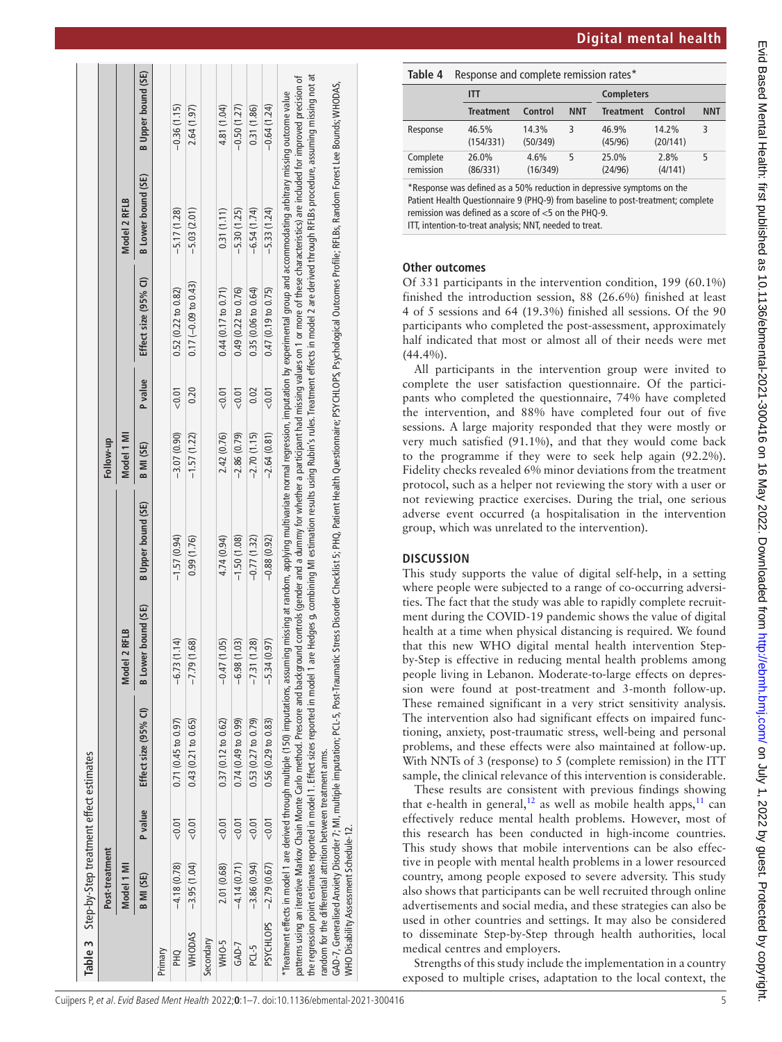|                  | Post-treatment                                                |         |                                                                                                                                                                                                                                |                           |                                                                                                                                                              | Follow-up        |         |                        |                    |                           |
|------------------|---------------------------------------------------------------|---------|--------------------------------------------------------------------------------------------------------------------------------------------------------------------------------------------------------------------------------|---------------------------|--------------------------------------------------------------------------------------------------------------------------------------------------------------|------------------|---------|------------------------|--------------------|---------------------------|
|                  | Model 1 MI                                                    |         |                                                                                                                                                                                                                                | Model 2 RFLB              |                                                                                                                                                              | Model 1 MI       |         |                        | Model 2 RFLB       |                           |
|                  | <b>B MI (SE)</b>                                              | P value | Effect size $(95%$ Cl)                                                                                                                                                                                                         | <b>B</b> Lower bound (SE) | <b>B</b> Upper bound (SE)                                                                                                                                    | <b>B MI (SE)</b> | P value | Effect size (95% CI)   | B Lower bound (SE) | <b>B</b> Upper bound (SE) |
| Primary          |                                                               |         |                                                                                                                                                                                                                                |                           |                                                                                                                                                              |                  |         |                        |                    |                           |
| <b>PHQ</b>       | $-4.18(0.78)$                                                 | 0.01    | 0.71(0.45 to 0.97)                                                                                                                                                                                                             | $-6.73(1.14)$             | $-1.57(0.94)$                                                                                                                                                | $-3.07(0.90)$    | < 0.01  | 0.52(0.22 to 0.82)     | $-5.17(1.28)$      | $-0.36(1.15)$             |
| <b>WHODAS</b>    | $-3.95(1.04)$                                                 | < 0.01  | 0.43(0.21 to 0.65)                                                                                                                                                                                                             | (1.68)<br>$-7.79$         | 0.99(1.76)                                                                                                                                                   | $-1.57(1.22)$    | 0.20    | $0.17 (-0.09 to 0.43)$ | $-5.03(2.01)$      | 2.64 (1.97)               |
| Secondary        |                                                               |         |                                                                                                                                                                                                                                |                           |                                                                                                                                                              |                  |         |                        |                    |                           |
| WHO-5            | 2.01 (0.68)                                                   | < 0.01  | $0.37(0.12 \text{ to } 0.62)$                                                                                                                                                                                                  | $-0.47(1.05)$             | 4.74 (0.94)                                                                                                                                                  | 2.42 (0.76)      | < 0.01  | 0.44(0.17 to 0.71)     | 0.31(1.11)         | 4.81 (1.04)               |
| GAD-7            | $-4.14(0.71)$                                                 | < 0.01  | 0.74(0.49 to 0.99)                                                                                                                                                                                                             | $-6.98(1.03)$             | $-1.50(1.08)$                                                                                                                                                | $-2.86(0.79)$    | < 0.01  | 0.49(0.22 to 0.76)     | $-5.30(1.25)$      | $-0.50(1.27)$             |
| PCL-5            | $-3.86(0.94)$                                                 | 0.01    | 0.53(0.27 to 0.79)                                                                                                                                                                                                             | $-7.31(1.28)$             | $-0.77(1.32)$                                                                                                                                                | $-2.70(1.15)$    | 0.02    | 0.35(0.06 to 0.64)     | $-6.54(1.74)$      | 0.31(1.86)                |
| <b>PSYCHLOPS</b> | $-2.79(0.67)$                                                 | 0.01    | 0.56(0.29 to 0.83)                                                                                                                                                                                                             | (0.97)<br>$-5.34$         | $-0.88(0.92)$                                                                                                                                                | $-2.64(0.81)$    | < 0.01  | 0.47(0.19 to 0.75)     | $-5.33(1.24)$      | $-0.64(1.24)$             |
|                  |                                                               |         | Treatment effects in model 1 are derived through multiple (150) imputations, assuming missing at random, applying multivariate normal regression, imputation by experimental group and accommodating arbitrary missing outcome |                           |                                                                                                                                                              |                  |         |                        |                    |                           |
|                  |                                                               |         | patterns using an iterative Markov Chain Monte Carlo method. Prescore and background controls (gender and a dummy for whether a participant had missing values on 1 or more of these characteristics) are included for improve |                           |                                                                                                                                                              |                  |         |                        |                    |                           |
|                  |                                                               |         | the regression point estimates reported in model 1. Effect sizes reported in model 1                                                                                                                                           |                           | are Hedges g, combining MI estimation results using Rubin's rules. Treatment effects in model 2 are derived through RFLBs procedure, assuming missing not at |                  |         |                        |                    |                           |
|                  | random for the differential attrition between treatment arms. |         |                                                                                                                                                                                                                                |                           |                                                                                                                                                              |                  |         |                        |                    |                           |
|                  |                                                               |         | GAD-7, Generalised Anxiety Disorder 7; MI, multiple imputation; PCL-5, Post-Traumatic Stress Disorder Checklist 5; PHQ, Patient Health Questionnaire; PSYCHLOPS, Psychological Outcomes Profile; RFLBs, Random Forest Lee Boun |                           |                                                                                                                                                              |                  |         |                        |                    |                           |
|                  | <b>NHO Disability Assessment Schedule-12.</b>                 |         |                                                                                                                                                                                                                                |                           |                                                                                                                                                              |                  |         |                        |                    |                           |

(SE)

<span id="page-4-1"></span>

| Table 4               | Response and complete remission rates* |                    |                   |            |                   |                   |            |
|-----------------------|----------------------------------------|--------------------|-------------------|------------|-------------------|-------------------|------------|
|                       | ITT                                    |                    |                   |            | <b>Completers</b> |                   |            |
|                       |                                        | <b>Treatment</b>   | Control           | <b>NNT</b> | <b>Treatment</b>  | Control           | <b>NNT</b> |
| Response              |                                        | 46.5%<br>(154/331) | 14.3%<br>(50/349) | 3          | 46.9%<br>(45/96)  | 14.2%<br>(20/141) | 3          |
| Complete<br>remission |                                        | 26.0%<br>(86/331)  | 4.6%<br>(16/349)  | 5          | 25.0%<br>(24/96)  | 2.8%<br>(4/141)   | 5          |

\*Response was defined as a 50% reduction in depressive symptoms on the Patient Health Questionnaire 9 (PHQ-9) from baseline to post-treatment; complete remission was defined as a score of  $<$  5 on the PHO-9. ITT, intention-to-treat analysis; NNT, needed to treat.

# **Other outcomes**

Of 331 participants in the intervention condition, 199 (60.1%) finished the introduction session, 88 (26.6%) finished at least 4 of 5 sessions and 64 (19.3%) finished all sessions. Of the 90 participants who completed the post-assessment, approximately half indicated that most or almost all of their needs were met (44.4%).

All participants in the intervention group were invited to complete the user satisfaction questionnaire. Of the participants who completed the questionnaire, 74% have completed the intervention, and 88% have completed four out of five sessions. A large majority responded that they were mostly or very much satisfied (91.1%), and that they would come back to the programme if they were to seek help again (92.2%). Fidelity checks revealed 6% minor deviations from the treatment protocol, such as a helper not reviewing the story with a user or not reviewing practice exercises. During the trial, one serious adverse event occurred (a hospitalisation in the intervention group, which was unrelated to the intervention).

# **DISCUSSION**

This study supports the value of digital self-help, in a setting where people were subjected to a range of co-occurring adversities. The fact that the study was able to rapidly complete recruitment during the COVID-19 pandemic shows the value of digital health at a time when physical distancing is required. We found that this new WHO digital mental health intervention Stepby-Step is effective in reducing mental health problems among people living in Lebanon. Moderate-to-large effects on depression were found at post-treatment and 3-month follow-up. These remained significant in a very strict sensitivity analysis. The intervention also had significant effects on impaired functioning, anxiety, post-traumatic stress, well-being and personal problems, and these effects were also maintained at follow-up. With NNTs of 3 (response) to 5 (complete remission) in the ITT sample, the clinical relevance of this intervention is considerable.

These results are consistent with previous findings showing that e-health in general,<sup>12</sup> as well as mobile health apps,<sup>11</sup> can effectively reduce mental health problems. However, most of this research has been conducted in high-income countries. This study shows that mobile interventions can be also effective in people with mental health problems in a lower resourced country, among people exposed to severe adversity. This study also shows that participants can be well recruited through online advertisements and social media, and these strategies can also be used in other countries and settings. It may also be considered to disseminate Step-by-Step through health authorities, local medical centres and employers.

<span id="page-4-0"></span>Strengths of this study include the implementation in a country exposed to multiple crises, adaptation to the local context, the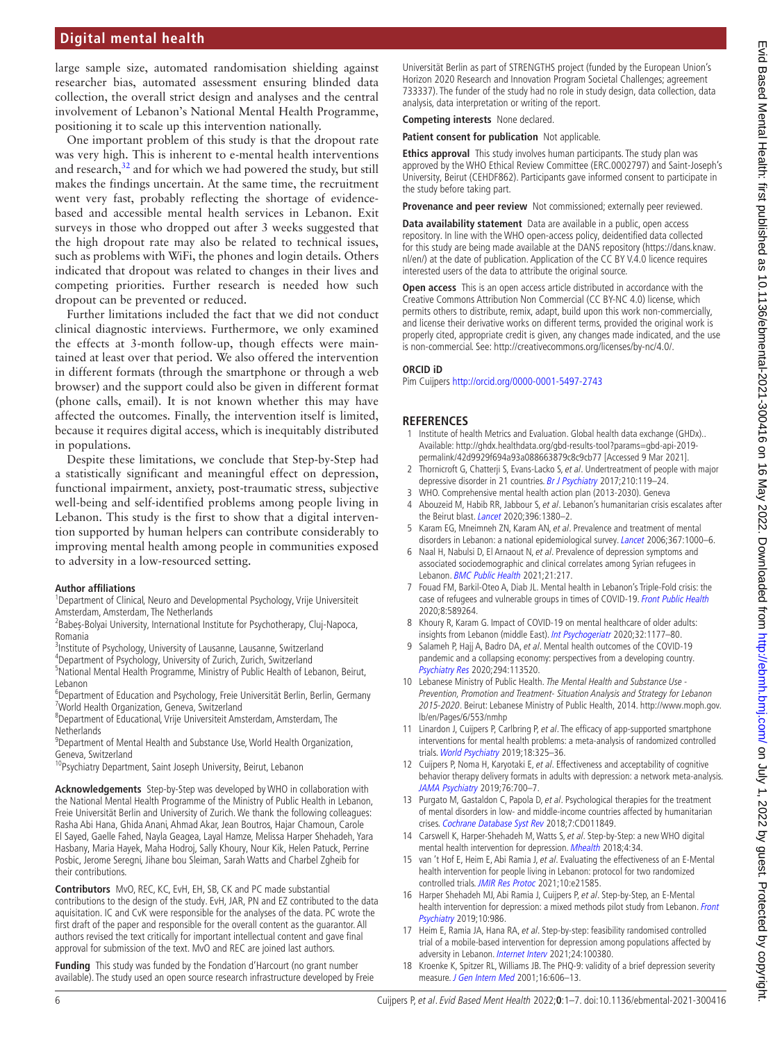# **Digital mental health**

large sample size, automated randomisation shielding against researcher bias, automated assessment ensuring blinded data collection, the overall strict design and analyses and the central involvement of Lebanon's National Mental Health Programme, positioning it to scale up this intervention nationally.

One important problem of this study is that the dropout rate was very high. This is inherent to e-mental health interventions and research,<sup>[32](#page-6-13)</sup> and for which we had powered the study, but still makes the findings uncertain. At the same time, the recruitment went very fast, probably reflecting the shortage of evidencebased and accessible mental health services in Lebanon. Exit surveys in those who dropped out after 3 weeks suggested that the high dropout rate may also be related to technical issues, such as problems with WiFi, the phones and login details. Others indicated that dropout was related to changes in their lives and competing priorities. Further research is needed how such dropout can be prevented or reduced.

Further limitations included the fact that we did not conduct clinical diagnostic interviews. Furthermore, we only examined the effects at 3-month follow-up, though effects were maintained at least over that period. We also offered the intervention in different formats (through the smartphone or through a web browser) and the support could also be given in different format (phone calls, email). It is not known whether this may have affected the outcomes. Finally, the intervention itself is limited, because it requires digital access, which is inequitably distributed in populations.

Despite these limitations, we conclude that Step-by-Step had a statistically significant and meaningful effect on depression, functional impairment, anxiety, post-traumatic stress, subjective well-being and self-identified problems among people living in Lebanon. This study is the first to show that a digital intervention supported by human helpers can contribute considerably to improving mental health among people in communities exposed to adversity in a low-resourced setting.

#### **Author affiliations**

<sup>1</sup>Department of Clinical, Neuro and Developmental Psychology, Vrije Universiteit Amsterdam, Amsterdam, The Netherlands

<sup>2</sup>Babeș-Bolyai University, International Institute for Psychotherapy, Cluj-Napoca, Romania

<sup>3</sup>Institute of Psychology, University of Lausanne, Lausanne, Switzerland

4 Department of Psychology, University of Zurich, Zurich, Switzerland

<sup>5</sup>National Mental Health Programme, Ministry of Public Health of Lebanon, Beirut, Lebanon

6 Department of Education and Psychology, Freie Universität Berlin, Berlin, Germany <sup>7</sup>World Health Organization, Geneva, Switzerland

8 Department of Educational, Vrije Universiteit Amsterdam, Amsterdam, The Netherlands

<sup>9</sup>Department of Mental Health and Substance Use, World Health Organization, Geneva, Switzerland

<sup>10</sup>Psychiatry Department, Saint Joseph University, Beirut, Lebanon

**Acknowledgements** Step-by-Step was developed by WHO in collaboration with the National Mental Health Programme of the Ministry of Public Health in Lebanon, Freie Universität Berlin and University of Zurich. We thank the following colleagues: Rasha Abi Hana, Ghida Anani, Ahmad Akar, Jean Boutros, Hajar Chamoun, Carole El Sayed, Gaelle Fahed, Nayla Geagea, Layal Hamze, Melissa Harper Shehadeh, Yara Hasbany, Maria Hayek, Maha Hodroj, Sally Khoury, Nour Kik, Helen Patuck, Perrine Posbic, Jerome Seregni, Jihane bou Sleiman, Sarah Watts and Charbel Zgheib for their contributions.

**Contributors** MvO, REC, KC, EvH, EH, SB, CK and PC made substantial contributions to the design of the study. EvH, JAR, PN and EZ contributed to the data aquisitation. IC and CvK were responsible for the analyses of the data. PC wrote the first draft of the paper and responsible for the overall content as the guarantor. All authors revised the text critically for important intellectual content and gave final approval for submission of the text. MvO and REC are joined last authors.

**Funding** This study was funded by the Fondation d'Harcourt (no grant number available). The study used an open source research infrastructure developed by Freie Universität Berlin as part of STRENGTHS project (funded by the European Union's Horizon 2020 Research and Innovation Program Societal Challenges; agreement 733337). The funder of the study had no role in study design, data collection, data analysis, data interpretation or writing of the report.

**Competing interests** None declared.

**Patient consent for publication** Not applicable.

**Ethics approval** This study involves human participants. The study plan was approved by the WHO Ethical Review Committee (ERC.0002797) and Saint-Joseph's University, Beirut (CEHDF862). Participants gave informed consent to participate in the study before taking part.

**Provenance and peer review** Not commissioned; externally peer reviewed.

**Data availability statement** Data are available in a public, open access repository. In line with the WHO open-access policy, deidentified data collected for this study are being made available at the DANS repository ([https://dans.knaw.](https://dans.knaw.nl/en/) [nl/en/](https://dans.knaw.nl/en/)) at the date of publication. Application of the CC BY V.4.0 licence requires interested users of the data to attribute the original source.

**Open access** This is an open access article distributed in accordance with the Creative Commons Attribution Non Commercial (CC BY-NC 4.0) license, which permits others to distribute, remix, adapt, build upon this work non-commercially, and license their derivative works on different terms, provided the original work is properly cited, appropriate credit is given, any changes made indicated, and the use is non-commercial. See: [http://creativecommons.org/licenses/by-nc/4.0/.](http://creativecommons.org/licenses/by-nc/4.0/)

#### **ORCID iD**

Pim Cuijpers <http://orcid.org/0000-0001-5497-2743>

#### **REFERENCES**

- <span id="page-5-0"></span>1 Institute of health Metrics and Evaluation. Global health data exchange (GHDx).. Available: [http://ghdx.healthdata.org/gbd-results-tool?params=gbd-api-2019](http://ghdx.healthdata.org/gbd-results-tool?params=gbd-api-2019-permalink/42d9929f694a93a088663879c8c9cb77) [permalink/42d9929f694a93a088663879c8c9cb77](http://ghdx.healthdata.org/gbd-results-tool?params=gbd-api-2019-permalink/42d9929f694a93a088663879c8c9cb77) [Accessed 9 Mar 2021].
- <span id="page-5-1"></span>2 Thornicroft G, Chatterji S, Evans-Lacko S, et al. Undertreatment of people with major depressive disorder in 21 countries. [Br J Psychiatry](http://dx.doi.org/10.1192/bjp.bp.116.188078) 2017;210:119-24.
- <span id="page-5-3"></span><span id="page-5-2"></span>3 WHO. Comprehensive mental health action plan (2013-2030). Geneva 4 Abouzeid M, Habib RR, Jabbour S, et al. Lebanon's humanitarian crisis escalates after the Beirut blast. [Lancet](http://dx.doi.org/10.1016/S0140-6736(20)31908-5) 2020;396:1380–2.
- <span id="page-5-4"></span>5 Karam EG, Mneimneh ZN, Karam AN, et al. Prevalence and treatment of mental disorders in Lebanon: a national epidemiological survey. [Lancet](http://dx.doi.org/10.1016/S0140-6736(06)68427-4) 2006;367:1000-6.
- <span id="page-5-5"></span>6 Naal H, Nabulsi D, El Arnaout N, et al. Prevalence of depression symptoms and associated sociodemographic and clinical correlates among Syrian refugees in Lebanon. [BMC Public Health](http://dx.doi.org/10.1186/s12889-021-10266-1) 2021;21:217.
- <span id="page-5-6"></span>7 Fouad FM, Barkil-Oteo A, Diab JL. Mental health in Lebanon's Triple-Fold crisis: the case of refugees and vulnerable groups in times of COVID-19. [Front Public Health](http://dx.doi.org/10.3389/fpubh.2020.589264) 2020;8:589264.
- 8 Khoury R, Karam G. Impact of COVID-19 on mental healthcare of older adults: insights from Lebanon (middle East). [Int Psychogeriatr](http://dx.doi.org/10.1017/S104161022000068X) 2020;32:1177-80.
- 9 Salameh P, Hajj A, Badro DA, et al. Mental health outcomes of the COVID-19 pandemic and a collapsing economy: perspectives from a developing country. [Psychiatry Res](http://dx.doi.org/10.1016/j.psychres.2020.113520) 2020;294:113520.
- <span id="page-5-7"></span>10 Lebanese Ministry of Public Health. The Mental Health and Substance Use - Prevention, Promotion and Treatment- Situation Analysis and Strategy for Lebanon 2015-2020. Beirut: Lebanese Ministry of Public Health, 2014. [http://www.moph.gov.](http://www.moph.gov.lb/en/Pages/6/553/nmhp) [lb/en/Pages/6/553/nmhp](http://www.moph.gov.lb/en/Pages/6/553/nmhp)
- <span id="page-5-8"></span>11 Linardon J, Cuijpers P, Carlbring P, et al. The efficacy of app-supported smartphone interventions for mental health problems: a meta-analysis of randomized controlled trials. [World Psychiatry](http://dx.doi.org/10.1002/wps.20673) 2019;18:325-36.
- <span id="page-5-9"></span>12 Cuijpers P, Noma H, Karyotaki E, et al. Effectiveness and acceptability of cognitive behavior therapy delivery formats in adults with depression: a network meta-analysis. [JAMA Psychiatry](http://dx.doi.org/10.1001/jamapsychiatry.2019.0268) 2019;76:700–7.
- <span id="page-5-10"></span>13 Purgato M, Gastaldon C, Papola D, et al. Psychological therapies for the treatment of mental disorders in low- and middle-income countries affected by humanitarian crises. [Cochrane Database Syst Rev](http://dx.doi.org/10.1002/14651858.CD011849.pub2) 2018;7:CD011849.
- <span id="page-5-11"></span>14 Carswell K, Harper-Shehadeh M, Watts S, et al. Step-by-Step: a new WHO digital mental health intervention for depression. [Mhealth](http://dx.doi.org/10.21037/mhealth.2018.08.01) 2018;4:34.
- <span id="page-5-12"></span>15 van 't Hof E, Heim E, Abi Ramia J, et al. Evaluating the effectiveness of an E-Mental health intervention for people living in Lebanon: protocol for two randomized controlled trials. [JMIR Res Protoc](http://dx.doi.org/10.2196/21585) 2021;10:e21585.
- 16 Harper Shehadeh MJ, Abi Ramia J, Cuijpers P, et al. Step-by-Step, an E-Mental health intervention for depression: a mixed methods pilot study from Lebanon. Front [Psychiatry](http://dx.doi.org/10.3389/fpsyt.2019.00986) 2019;10:986.
- 17 Heim E, Ramia JA, Hana RA, et al. Step-by-step: feasibility randomised controlled trial of a mobile-based intervention for depression among populations affected by adversity in Lebanon. [Internet Interv](http://dx.doi.org/10.1016/j.invent.2021.100380) 2021;24:100380.
- <span id="page-5-13"></span>18 Kroenke K, Spitzer RL, Williams JB. The PHQ-9: validity of a brief depression severity measure. *[J Gen Intern Med](http://dx.doi.org/10.1046/j.1525-1497.2001.016009606.x)* 2001;16:606-13.